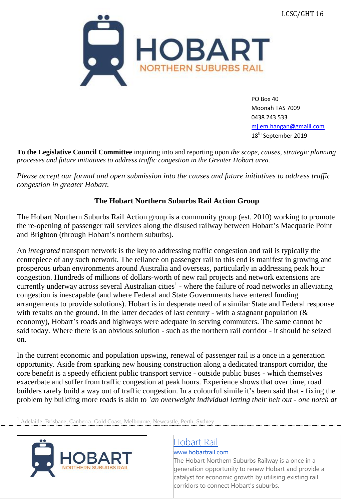

PO Box 40 Moonah TAS 7009 0438 243 533 [mj.em.hangan@gmaill.com](mailto:mj.em.hangan@gmaill.com) 18<sup>th</sup> September 2019

**To the Legislative Council Committee** inquiring into and reporting upon *the scope, causes, strategic planning processes and future initiatives to address traffic congestion in the Greater Hobart area.*

*Please accept our formal and open submission into the causes and future initiatives to address traffic congestion in greater Hobart.*

#### **The Hobart Northern Suburbs Rail Action Group**

The Hobart Northern Suburbs Rail Action group is a community group (est. 2010) working to promote the re-opening of passenger rail services along the disused railway between Hobart's Macquarie Point and Brighton (through Hobart's northern suburbs).

An *integrated* transport network is the key to addressing traffic congestion and rail is typically the centrepiece of any such network. The reliance on passenger rail to this end is manifest in growing and prosperous urban environments around Australia and overseas, particularly in addressing peak hour congestion. Hundreds of millions of dollars-worth of new rail projects and network extensions are currently underway across several Australian cities<sup>1</sup> - where the failure of road networks in alleviating congestion is inescapable (and where Federal and State Governments have entered funding arrangements to provide solutions). Hobart is in desperate need of a similar State and Federal response with results on the ground. In the latter decades of last century - with a stagnant population (& economy), Hobart's roads and highways were adequate in serving commuters. The same cannot be said today. Where there is an obvious solution - such as the northern rail corridor - it should be seized on.

In the current economic and population upswing, renewal of passenger rail is a once in a generation opportunity. Aside from sparking new housing construction along a dedicated transport corridor, the core benefit is a speedy efficient public transport service - outside public buses - which themselves exacerbate and suffer from traffic congestion at peak hours. Experience shows that over time, road builders rarely build a way out of traffic congestion. In a colourful simile it's been said that - fixing the problem by building more roads is akin to *'an overweight individual letting their belt out - one notch at*

1 Adelaide, Brisbane, Canberra, Gold Coast, Melbourne, Newcastle, Perth, Sydney



### [Hobart Rail](http://www.hobartrail.com/)

[www.hobartrail.com](http://www.hobartrail.com/)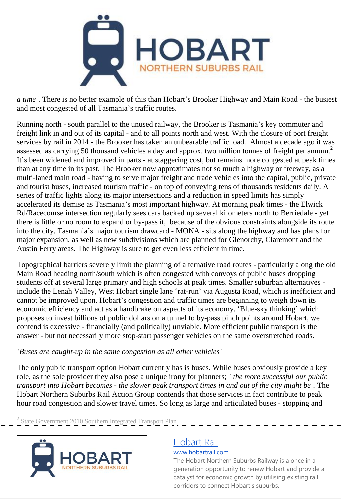

*a time'.* There is no better example of this than Hobart's Brooker Highway and Main Road - the busiest and most congested of all Tasmania's traffic routes.

Running north - south parallel to the unused railway, the Brooker is Tasmania's key commuter and freight link in and out of its capital - and to all points north and west. With the closure of port freight services by rail in 2014 - the Brooker has taken an unbearable traffic load. Almost a decade ago it was assessed as carrying 50 thousand vehicles a day and approx. two million tonnes of freight per annum.<sup>2</sup> It's been widened and improved in parts - at staggering cost, but remains more congested at peak times than at any time in its past. The Brooker now approximates not so much a highway or freeway, as a multi-laned main road - having to serve major freight and trade vehicles into the capital, public, private and tourist buses, increased tourism traffic - on top of conveying tens of thousands residents daily. A series of traffic lights along its major intersections and a reduction in speed limits has simply accelerated its demise as Tasmania's most important highway. At morning peak times - the Elwick Rd/Racecourse intersection regularly sees cars backed up several kilometers north to Berriedale - yet there is little or no room to expand or by-pass it, because of the obvious constraints alongside its route into the city. Tasmania's major tourism drawcard - MONA - sits along the highway and has plans for major expansion, as well as new subdivisions which are planned for Glenorchy, Claremont and the Austin Ferry areas. The Highway is sure to get even less efficient in time.

Topographical barriers severely limit the planning of alternative road routes - particularly along the old Main Road heading north/south which is often congested with convoys of public buses dropping students off at several large primary and high schools at peak times. Smaller suburban alternatives include the Lenah Valley, West Hobart single lane 'rat-run' via Augusta Road, which is inefficient and cannot be improved upon. Hobart's congestion and traffic times are beginning to weigh down its economic efficiency and act as a handbrake on aspects of its economy. 'Blue-sky thinking' which proposes to invest billions of public dollars on a tunnel to by-pass pinch points around Hobart, we contend is excessive - financially (and politically) unviable. More efficient public transport is the answer - but not necessarily more stop-start passenger vehicles on the same overstretched roads.

#### *'Buses are caught-up in the same congestion as all other vehicles'*

The only public transport option Hobart currently has is buses. While buses obviously provide a key role, as the sole provider they also pose a unique irony for planners; *' the more successful our public* transport into Hobart becomes - the slower peak transport times in and out of the city might be'. The Hobart Northern Suburbs Rail Action Group contends that those services in fact contribute to peak hour road congestion and slower travel times. So long as large and articulated buses - stopping and

2 State Government 2010 Southern Integrated Transport Plan



### [Hobart Rail](http://www.hobartrail.com/)

#### [www.hobartrail.com](http://www.hobartrail.com/)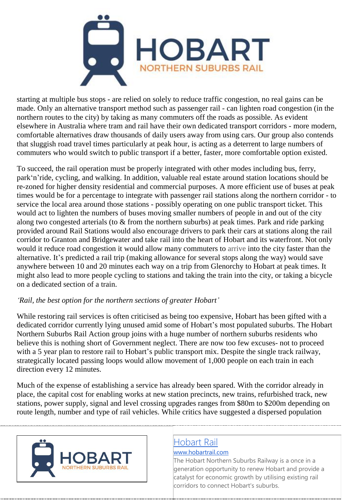

starting at multiple bus stops - are relied on solely to reduce traffic congestion, no real gains can be made. Only an alternative transport method such as passenger rail - can lighten road congestion (in the northern routes to the city) by taking as many commuters off the roads as possible. As evident elsewhere in Australia where tram and rail have their own dedicated transport corridors - more modern, comfortable alternatives draw thousands of daily users away from using cars. Our group also contends that sluggish road travel times particularly at peak hour, is acting as a deterrent to large numbers of commuters who would switch to public transport if a better, faster, more comfortable option existed.

To succeed, the rail operation must be properly integrated with other modes including bus, ferry, park'n'ride, cycling, and walking. In addition, valuable real estate around station locations should be re-zoned for higher density residential and commercial purposes. A more efficient use of buses at peak times would be for a percentage to integrate with passenger rail stations along the northern corridor - to service the local area around those stations - possibly operating on one public transport ticket. This would act to lighten the numbers of buses moving smaller numbers of people in and out of the city along two congested arterials (to & from the northern suburbs) at peak times. Park and ride parking provided around Rail Stations would also encourage drivers to park their cars at stations along the rail corridor to Granton and Bridgewater and take rail into the heart of Hobart and its waterfront. Not only would it reduce road congestion it would allow many commuters to arrive into the city faster than the alternative. It's predicted a rail trip (making allowance for several stops along the way) would save anywhere between 10 and 20 minutes each way on a trip from Glenorchy to Hobart at peak times. It might also lead to more people cycling to stations and taking the train into the city, or taking a bicycle on a dedicated section of a train.

#### *'Rail, the best option for the northern sections of greater Hobart'*

While restoring rail services is often criticised as being too expensive, Hobart has been gifted with a dedicated corridor currently lying unused amid some of Hobart's most populated suburbs. The Hobart Northern Suburbs Rail Action group joins with a huge number of northern suburbs residents who believe this is nothing short of Government neglect. There are now too few excuses- not to proceed with a 5 year plan to restore rail to Hobart's public transport mix. Despite the single track railway, strategically located passing loops would allow movement of 1,000 people on each train in each direction every 12 minutes.

Much of the expense of establishing a service has already been spared. With the corridor already in place, the capital cost for enabling works at new station precincts, new trains, refurbished track, new stations, power supply, signal and level crossing upgrades ranges from \$80m to \$200m depending on route length, number and type of rail vehicles. While critics have suggested a dispersed population



### [Hobart Rail](http://www.hobartrail.com/)

#### [www.hobartrail.com](http://www.hobartrail.com/)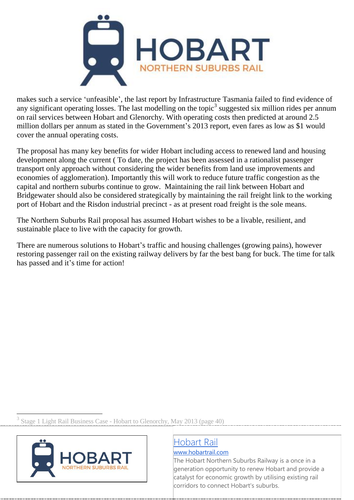

makes such a service 'unfeasible', the last report by Infrastructure Tasmania failed to find evidence of any significant operating losses. The last modelling on the topic<sup>3</sup> suggested six million rides per annum on rail services between Hobart and Glenorchy. With operating costs then predicted at around 2.5 million dollars per annum as stated in the Government's 2013 report, even fares as low as \$1 would cover the annual operating costs.

The proposal has many key benefits for wider Hobart including access to renewed land and housing development along the current ( To date, the project has been assessed in a rationalist passenger transport only approach without considering the wider benefits from land use improvements and economies of agglomeration). Importantly this will work to reduce future traffic congestion as the capital and northern suburbs continue to grow. Maintaining the rail link between Hobart and Bridgewater should also be considered strategically by maintaining the rail freight link to the working port of Hobart and the Risdon industrial precinct - as at present road freight is the sole means.

The Northern Suburbs Rail proposal has assumed Hobart wishes to be a livable, resilient, and sustainable place to live with the capacity for growth.

There are numerous solutions to Hobart's traffic and housing challenges (growing pains), however restoring passenger rail on the existing railway delivers by far the best bang for buck. The time for talk has passed and it's time for action!

<sup>3</sup> Stage 1 Light Rail Business Case - Hobart to Glenorchy, May 2013 (page 40)



# [Hobart Rail](http://www.hobartrail.com/)

[www.hobartrail.com](http://www.hobartrail.com/)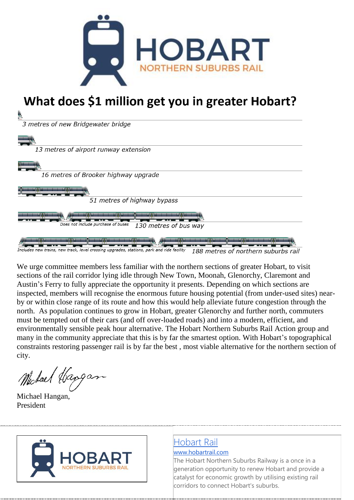

# What does \$1 million get you in greater Hobart?

3 metres of new Bridgewater bridge 13 metres of airport runway extension 16 metres of Brooker highway upgrade 51 metres of highway bypass Does not include purchase of buses 130 metres of bus way des new trains, new track, level crossing upgrades, stations, park and ride facility 188 metres of northern suburbs rail

We urge committee members less familiar with the northern sections of greater Hobart, to visit sections of the rail corridor lying idle through New Town, Moonah, Glenorchy, Claremont and Austin's Ferry to fully appreciate the opportunity it presents. Depending on which sections are inspected, members will recognise the enormous future housing potential (from under-used sites) nearby or within close range of its route and how this would help alleviate future congestion through the north. As population continues to grow in Hobart, greater Glenorchy and further north, commuters must be tempted out of their cars (and off over-loaded roads) and into a modern, efficient, and environmentally sensible peak hour alternative. The Hobart Northern Suburbs Rail Action group and many in the community appreciate that this is by far the smartest option. With Hobart's topographical constraints restoring passenger rail is by far the best , most viable alternative for the northern section of city.

Michael Hangan

Michael Hangan, President



# [Hobart Rail](http://www.hobartrail.com/)

#### [www.hobartrail.com](http://www.hobartrail.com/)